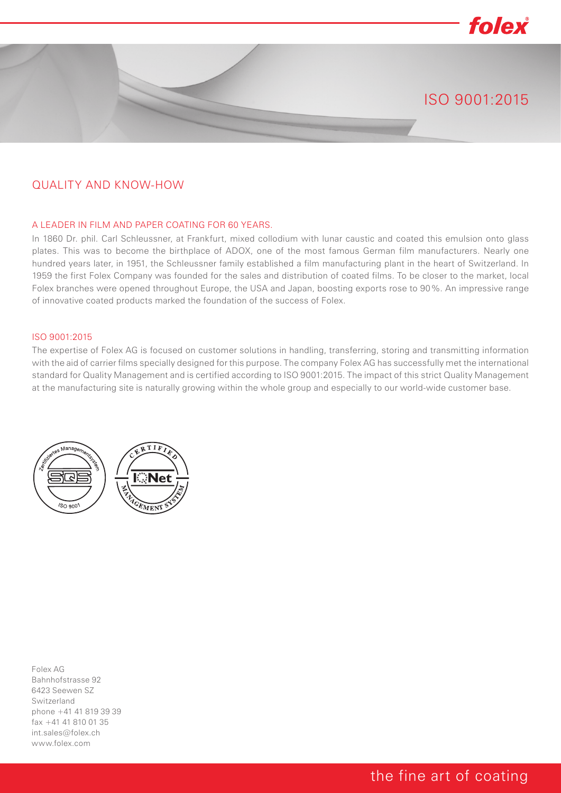# folex ISO 9001:2015

#### QUALITY AND KNOW-HOW

#### A LEADER IN FILM AND PAPER COATING FOR 60 YEARS.

In 1860 Dr. phil. Carl Schleussner, at Frankfurt, mixed collodium with lunar caustic and coated this emulsion onto glass plates. This was to become the birthplace of ADOX, one of the most famous German film manufacturers. Nearly one hundred years later, in 1951, the Schleussner family established a film manufacturing plant in the heart of Switzerland. In 1959 the first Folex Company was founded for the sales and distribution of coated films. To be closer to the market, local Folex branches were opened throughout Europe, the USA and Japan, boosting exports rose to 90%. An impressive range of innovative coated products marked the foundation of the success of Folex.

#### ISO 9001:2015

The expertise of Folex AG is focused on customer solutions in handling, transferring, storing and transmitting information with the aid of carrier films specially designed for this purpose. The company Folex AG has successfully met the international standard for Quality Management and is certified according to ISO 9001:2015. The impact of this strict Quality Management at the manufacturing site is naturally growing within the whole group and especially to our world-wide customer base.



Folex AG Bahnhofstrasse 92 6423 Seewen SZ Switzerland phone +41 41 819 39 39 fax +41 41 810 01 35 int.sales@folex.ch www.folex.com

#### the fine art of coating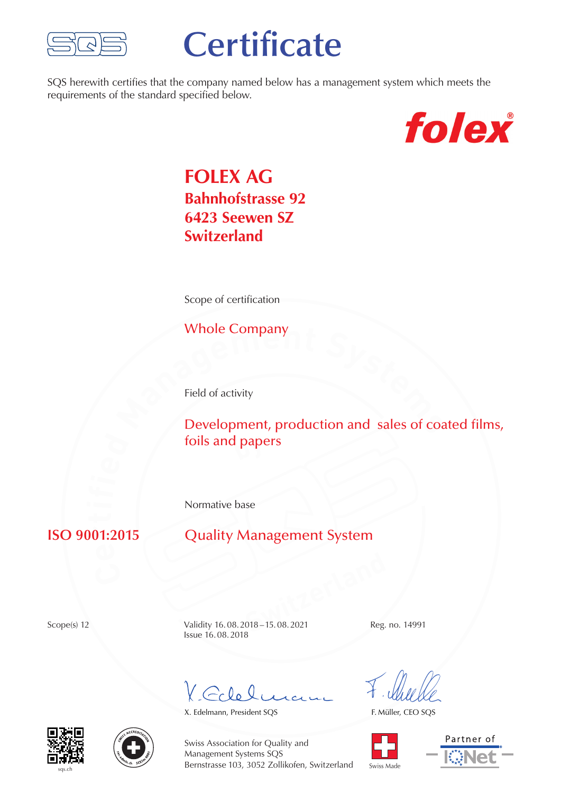

# **Certificate**

SQS herewith certifies that the company named below has a management system which meets the requirements of the standard specified below.



## **FOLEX AG Bahnhofstrasse 92 6423 Seewen SZ Switzerland**

Scope of certification

Whole Company

Field of activity

**Paradeler Structure Company**<br> **Development, production and sales of coated films, by** foils and papers

Normative base

#### **ISO 9001:2015**

### **Quality Management System**

**Switzerland**<br> **Switzerland**<br> **Switzerland**<br> **Switzerland**<br> **Switzerland**<br> **Switzerland**<br> **Switzerland**<br> **Switzerland**<br> **Switzerland**<br> **Switzerland**<br> **Switzerland** Scope(s) 12 Validity 16.08.2018 – 15.08.2021 Reg. no. 14991 Issue 16.08.2018

V. Colelo

X. Edelmann, President SQS

F. Müller, CEO SQS









Swiss Association for Quality and Management Systems SQS Bernstrasse 103, 3052 Zollikofen, Switzerland

Swiss Made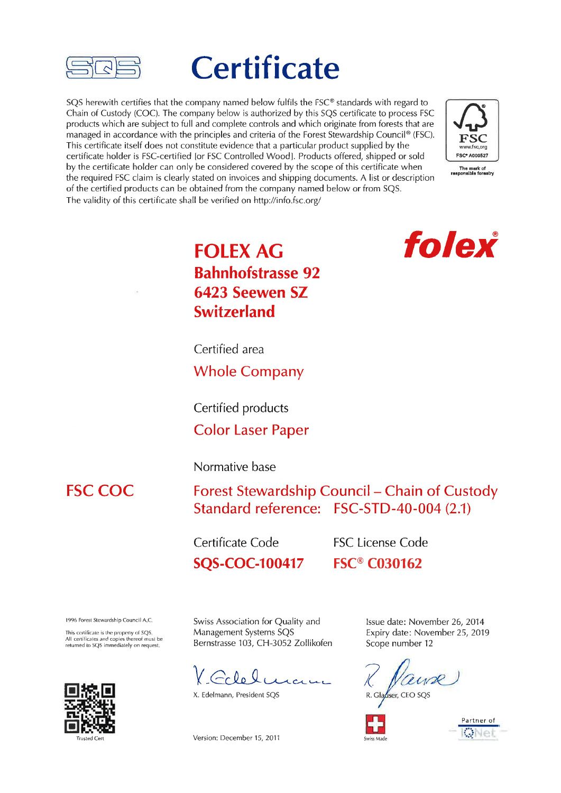

# **Certificate**

SOS herewith certifies that the company named below fulfils the FSC® standards with regard to Chain of Custody (COC). The company below is authorized by this SQS certificate to process FSC products which are subject to full and complete controls and which originate from forests that are managed in accordance with the principles and criteria of the Forest Stewardship Council® (FSC). This certificate itself does not constitute evidence that a particular product supplied by the certificate holder is FSC-certified for FSC Controlled Wood1. Products offered, shipped or sold by the certificate holder can only be considered covered by the scope of this certificate when the required FSC claim is clearly stated on invoices and shipping documents. A list or description of the certified products can be obtained from the company named below or from SQS. The validity of this certificate shall be verified on http://info.fsc.org/



# folex

## **FOLEX AG Bahnhofstrasse 92** 6423 Seewen SZ **Switzerland**

Certified area

**Whole Company** 

Certified products **Color Laser Paper** 

#### Normative base

### **FSC COC**

Forest Stewardship Council - Chain of Custody Standard reference: FSC-STD-40-004 (2.1)

Certificate Code **SQS-COC-100417**  **FSC License Code FSC® C030162** 

1996 Forest Stewardship Council A.C.

This certificate is the property of SOS All certificates and copies thereof must be<br>returned to SQS immediately on request



Swiss Association for Quality and Management Systems SQS Bernstrasse 103, CH-3052 Zollikofen

X. Edelmann, President SQS

Version: December 15, 2011

Issue date: November 26, 2014 Expiry date: November 25, 2019 Scope number 12

R. Glauser, CEO SQS



Partner of